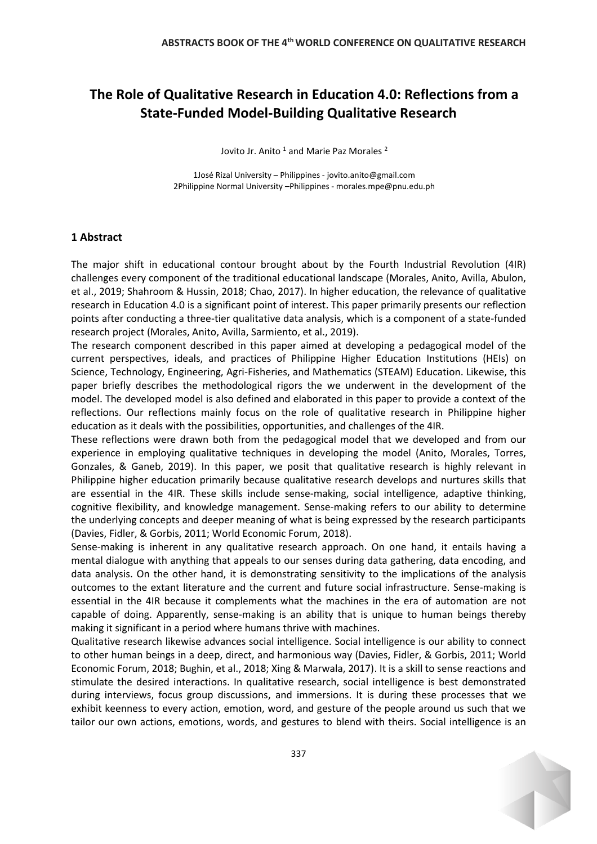## **The Role of Qualitative Research in Education 4.0: Reflections from a State-Funded Model-Building Qualitative Research**

Jovito Jr. Anito <sup>1</sup> and Marie Paz Morales<sup>2</sup>

1José Rizal University – Philippines - jovito.anito@gmail.com 2Philippine Normal University –Philippines - morales.mpe@pnu.edu.ph

## **1 Abstract**

The major shift in educational contour brought about by the Fourth Industrial Revolution (4IR) challenges every component of the traditional educational landscape (Morales, Anito, Avilla, Abulon, et al., 2019; Shahroom & Hussin, 2018; Chao, 2017). In higher education, the relevance of qualitative research in Education 4.0 is a significant point of interest. This paper primarily presents our reflection points after conducting a three-tier qualitative data analysis, which is a component of a state-funded research project (Morales, Anito, Avilla, Sarmiento, et al., 2019).

The research component described in this paper aimed at developing a pedagogical model of the current perspectives, ideals, and practices of Philippine Higher Education Institutions (HEIs) on Science, Technology, Engineering, Agri-Fisheries, and Mathematics (STEAM) Education. Likewise, this paper briefly describes the methodological rigors the we underwent in the development of the model. The developed model is also defined and elaborated in this paper to provide a context of the reflections. Our reflections mainly focus on the role of qualitative research in Philippine higher education as it deals with the possibilities, opportunities, and challenges of the 4IR.

These reflections were drawn both from the pedagogical model that we developed and from our experience in employing qualitative techniques in developing the model (Anito, Morales, Torres, Gonzales, & Ganeb, 2019). In this paper, we posit that qualitative research is highly relevant in Philippine higher education primarily because qualitative research develops and nurtures skills that are essential in the 4IR. These skills include sense-making, social intelligence, adaptive thinking, cognitive flexibility, and knowledge management. Sense-making refers to our ability to determine the underlying concepts and deeper meaning of what is being expressed by the research participants (Davies, Fidler, & Gorbis, 2011; World Economic Forum, 2018).

Sense-making is inherent in any qualitative research approach. On one hand, it entails having a mental dialogue with anything that appeals to our senses during data gathering, data encoding, and data analysis. On the other hand, it is demonstrating sensitivity to the implications of the analysis outcomes to the extant literature and the current and future social infrastructure. Sense-making is essential in the 4IR because it complements what the machines in the era of automation are not capable of doing. Apparently, sense-making is an ability that is unique to human beings thereby making it significant in a period where humans thrive with machines.

Qualitative research likewise advances social intelligence. Social intelligence is our ability to connect to other human beings in a deep, direct, and harmonious way (Davies, Fidler, & Gorbis, 2011; World Economic Forum, 2018; Bughin, et al., 2018; Xing & Marwala, 2017). It is a skill to sense reactions and stimulate the desired interactions. In qualitative research, social intelligence is best demonstrated during interviews, focus group discussions, and immersions. It is during these processes that we exhibit keenness to every action, emotion, word, and gesture of the people around us such that we tailor our own actions, emotions, words, and gestures to blend with theirs. Social intelligence is an

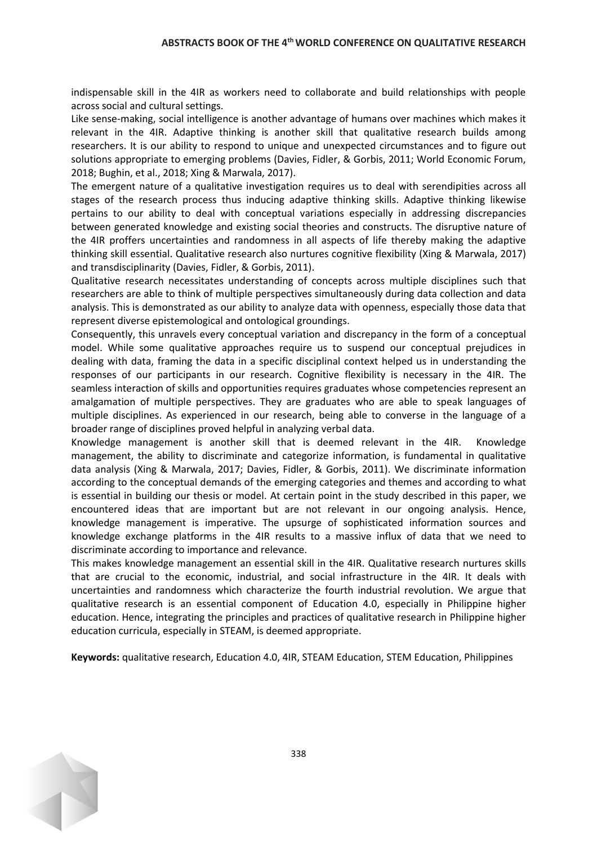indispensable skill in the 4IR as workers need to collaborate and build relationships with people across social and cultural settings.

Like sense-making, social intelligence is another advantage of humans over machines which makes it relevant in the 4IR. Adaptive thinking is another skill that qualitative research builds among researchers. It is our ability to respond to unique and unexpected circumstances and to figure out solutions appropriate to emerging problems (Davies, Fidler, & Gorbis, 2011; World Economic Forum, 2018; Bughin, et al., 2018; Xing & Marwala, 2017).

The emergent nature of a qualitative investigation requires us to deal with serendipities across all stages of the research process thus inducing adaptive thinking skills. Adaptive thinking likewise pertains to our ability to deal with conceptual variations especially in addressing discrepancies between generated knowledge and existing social theories and constructs. The disruptive nature of the 4IR proffers uncertainties and randomness in all aspects of life thereby making the adaptive thinking skill essential. Qualitative research also nurtures cognitive flexibility (Xing & Marwala, 2017) and transdisciplinarity (Davies, Fidler, & Gorbis, 2011).

Qualitative research necessitates understanding of concepts across multiple disciplines such that researchers are able to think of multiple perspectives simultaneously during data collection and data analysis. This is demonstrated as our ability to analyze data with openness, especially those data that represent diverse epistemological and ontological groundings.

Consequently, this unravels every conceptual variation and discrepancy in the form of a conceptual model. While some qualitative approaches require us to suspend our conceptual prejudices in dealing with data, framing the data in a specific disciplinal context helped us in understanding the responses of our participants in our research. Cognitive flexibility is necessary in the 4IR. The seamless interaction of skills and opportunities requires graduates whose competencies represent an amalgamation of multiple perspectives. They are graduates who are able to speak languages of multiple disciplines. As experienced in our research, being able to converse in the language of a broader range of disciplines proved helpful in analyzing verbal data.

Knowledge management is another skill that is deemed relevant in the 4IR. Knowledge management, the ability to discriminate and categorize information, is fundamental in qualitative data analysis (Xing & Marwala, 2017; Davies, Fidler, & Gorbis, 2011). We discriminate information according to the conceptual demands of the emerging categories and themes and according to what is essential in building our thesis or model. At certain point in the study described in this paper, we encountered ideas that are important but are not relevant in our ongoing analysis. Hence, knowledge management is imperative. The upsurge of sophisticated information sources and knowledge exchange platforms in the 4IR results to a massive influx of data that we need to discriminate according to importance and relevance.

This makes knowledge management an essential skill in the 4IR. Qualitative research nurtures skills that are crucial to the economic, industrial, and social infrastructure in the 4IR. It deals with uncertainties and randomness which characterize the fourth industrial revolution. We argue that qualitative research is an essential component of Education 4.0, especially in Philippine higher education. Hence, integrating the principles and practices of qualitative research in Philippine higher education curricula, especially in STEAM, is deemed appropriate.

**Keywords:** qualitative research, Education 4.0, 4IR, STEAM Education, STEM Education, Philippines